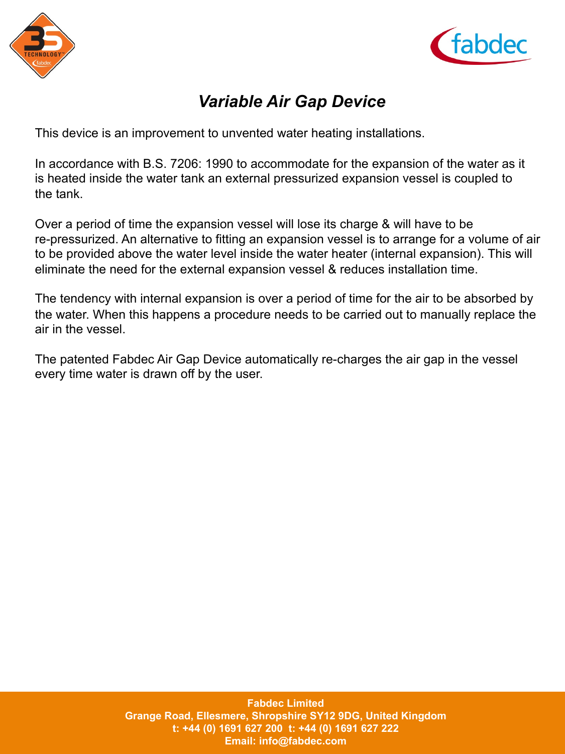



## *Variable Air Gap Device*

This device is an improvement to unvented water heating installations.

In accordance with B.S. 7206: 1990 to accommodate for the expansion of the water as it is heated inside the water tank an external pressurized expansion vessel is coupled to the tank.

Over a period of time the expansion vessel will lose its charge & will have to be re-pressurized. An alternative to fitting an expansion vessel is to arrange for a volume of air to be provided above the water level inside the water heater (internal expansion). This will eliminate the need for the external expansion vessel & reduces installation time.

The tendency with internal expansion is over a period of time for the air to be absorbed by the water. When this happens a procedure needs to be carried out to manually replace the air in the vessel.

The patented Fabdec Air Gap Device automatically re-charges the air gap in the vessel every time water is drawn off by the user.